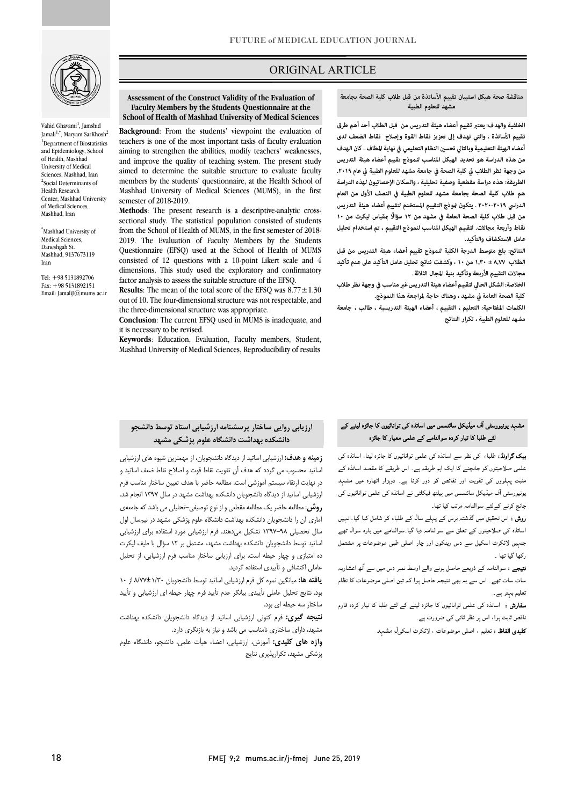

Vahid Ghavami<sup>1</sup>, Jamshid Jamali<sup>1,\*</sup>, Maryam SarKhosh<sup>2</sup> <sup>1</sup>Department of Biostatistics and Epidemiology, School of Health, Mashhad University of Medical Sciences, Mashhad, Iran <sup>2</sup>Social Determinants of Health Research Center, Mashhad University of Medical Sciences, Mashhad, Iran

\* Mashhad University of Medical Sciences, Daneshgah St. Mashhad, 9137673119 Iran

Tel: +98 5131892706 Fax: +98 5131892151 Email: JamaliJ@mums.ac.ir

## ORIGINAL ARTICLE

 **Assessment of the Construct Validity of the Evaluation of**  School of Health of Mashhad University of Medical Sciences **Faculty Members by the Students Questionnaire at the** 

Ī

 **Background**: From the students' viewpoint the evaluation of teachers is one of the most important tasks of faculty evaluation and improve the quality of teaching system. The present study aimed to determine the suitable structure to evaluate faculty members by the students' questionnaire, at the Health School of Ì aiming to strengthen the abilities, modify teachers' weaknesses, Mashhad University of Medical Sciences (MUMS), in the first semester of 2018-2019.

 **Methods**: The present research is a descriptive-analytic cross- from the School of Health of MUMS, in the first semester of 2018- 2019. The Evaluation of Faculty Members by the Students Questionnaire (EFSQ) used at the School of Health of MUMS dimensions. This study used the exploratory and confirmatory factor analysis to assess the suitable structure of the EFSQ. sectional study. The statistical population consisted of students consisted of 12 questions with a 10-point Likert scale and 4

 $\frac{1}{2}$  and  $\frac{1}{2}$ . The four-dimensional structure was not respectable, and the three-dimensional structure was appropriate. **Results**: The mean of the total score of the EFSO was  $8.77 \pm 1.30$ 

 **Conclusion**: The current EFSQ used in MUMS is inadequate, and it is necessary to be revised.

 **Keywords**: Education, Evaluation, Faculty members, Student, Mashhad University of Medical Sciences, Reproducibility of results

 **مناقشة صحة هيكل استبيان تقييم الأساتذة من قبل طلاب كلية الصحة بجامعة مشهد للعلوم الطبية**

ص

 **الخلفية والهدف: يعتبر تقييم أعضاء هيئة التدريس من قبل الطلاب أحد أهم طرق Sciences Medical of University Mashhad of Health of School أعضاء الهيئة التعليمية وبالتالي تحس النظام التعليمي في نهاية المطاف . كان الهدف من هذه الدراسة هو تحديد الهيكل المناسب لنموذج تقييم أعضاء هيئة التدريس من وجهة نظر الطلاب في كلية الصحة في جامعة مشهد للعلوم الطبية في عام .٢٠١٩ الطريقة: هذه دراسة مقطعية وصفية تحليلية ، والسكان الإحصائيون لهذه الدراسة هم طلاب كلية الصحة بجامعة مشهد للعلوم الطبية في النصف الأول من العام من قبل طلاب كلية الصحة العامة في مشهد من ١٢ سؤالاً قياس ليكرت من ١٠ نقاط وأربعة مجالات. لتقييم الهيكل المناسب لنموذج التقييم ، تم استخدام تحليل عامل الاستكشاف والتأكيد. تقييم الأساتذة ، والتي تهدف إلى تعزيز نقاط القوة وإصلاح نقاط الضعف لدى الدراسي .٢٠٢٠-٢٠١٩ يتكون وذج التقييم المستخدم لتقييم أعضاء هيئة التدريس** 

> **النتائج: بلغ متوسط الدرجة الكلية لنموذج تقييم أعضاء هيئة التدريس من قبل مجالات التقييم الأربعة وتأكيد بنية المجال الثلاثة. الطلاب ٨٫٧٧ ± ١٫٣٠ من ١٠ ، وكشفت نتائج تحليل عامل التأكيد على عدم تأكيد**

> **الخلاصة: الشكل الحالي لتقييم أعضاء هيئة التدريس غ مناسب في وجهة نظر طلاب كلية الصحة العامة في مشهد ، وهناك حاجة لمراجعة هذا النموذج.**

> **الكلت المفتاحية: التعليم ، التقييم ، أعضاء الهيئة التدريسية ، طالب ، جامعة مشهد للعلوم الطبية ، تكرار النتائج**

# ۔<br>مشہد یونیورسٹی آف میڈیکل سائنسس میں اساتذہ کی توانائیوں کا جائزہ لینے کے ر دہ ا ر ہ

**یپک گراونڈ:** طلباء کی نظر سے اساتذہ کی علمی توانائیوں کا جائزہ لینا، اساتذہ کی<br>۔ ے کہ سعودی کے بہت سے بہت ہم کر دور کرنا ہے۔ اس کریے کے سعید سینمند ہے<br>مثبت پہلووں کی تقویت اور نقائص کو دور کرنا ہے۔ دوہزار اٹھارہ میں مشہد ر آف اہ اں ۔<br>جانچ کرنے کےلئے سوالنامہ مرتب کیا تھا۔ ۔<br>علمی صلاحیتوں کو جانچنے کا ایک اہم طریقہ ہے۔ اس طریقے کا مقصد اساتذہ کے

ر**وش :** اس تحقیق میں گذشتہ برس کے پہلے سال کے طلباء کو شامل کیا گیا۔انہیں اساتذہ کی صلاحیتوں کے تعلق سے سوالنامہ دیا گیا۔سوالنامے میں بارہ سوال تھے جنہیں لائکرٹ اسکیل سے دس رینکوں اور چار اصلی طبی موضوعات پر مشتمل ركها گيا تها ۔

**تیبجے :** سوالنامہ کے ذریعے حاصل ہونے والے اوسط نمبر دس میں سے آٹھ اعشاریہ سات سات تھے۔ اس سے یہ بھی نتیجہ حاصل ہوا کہ تین اصلی موضوعات کا نظام<br>۔ تعلیم بہتر سے۔

معیم بہر ہے.<br>**سفارش :** اساتذہ کی علمی توانائیوں کا جائزہ لینے کے لئے طلبا کا تیار کردہ فارم ۔ ۔<br>ناقص ثابت ہوا، اس پر نظر ثانی کی ضرورت ہے۔

۔<br><mark>کلیدی الفاظ :</mark> تعلیم ، اصلی موضوعات ، لائکرٹ اسک<sub>ح</sub>ل مشہد

# **ارزیابی روایی ساختار پرسشنامه ارزشیابی استاد توسط دانشجو دانشکده بهداشت دانشگاه علوم پزشکی مشهد**

 **زمینه و هدف:** ارزشیابی اساتید از دیدگاه دانشجویان، از مهمترین شیوه هاي ارزشیابی اساتید محسوب می گردد که هدف آن تقویت نقاط قوت و اصلاح نقاط ضعف اساتید و .<br>در چه یک ارتقاء سیستم امورسی است. ساعت حاصر با سدت سیس سال ۱۳۹۷ انجام شد.<br>رزشیابی اساتید از دیدگاه دانشجویان دانشکده بهداشت مشهد در سال ۱۳۹۷ انجام شد. روشي .<br>**روش:** مطالعه حاضر یک مطالعه مقطعی و از نوع توصیفی-تحلیلی می باشد که جامعهی آماري آن را دانشجویان دانشکده بهداشت دانشگاه علوم پزشکی مشهد در نیمسال اول سال تحصیلی 1397-98 تشکیل میدهند. فرم ارزشیابی مورد استفاده براي ارزشیابی اساتید توسط دانشجویان دانشکده بهداشت مشهد، مشتمل بر 12 سؤال با طیف لیکرت ده امتیازي و چهار حیطه است. براي ارزیابی ساختار مناسب فرم ارزشیابی، از تحلیل عاملی اکتشافی و تأییدي استفاده گردید. در نهایت ارتقاء سیستم آموزشی است. مطالعه حاضر با هدف تعیین ساختار مناسب فرم

 **یافته ها:** میانگین نمره کل فرم ارزشیابی اساتید توسط دانشجویان 8/77±1/30 از 10 بود. نتایج تحلیل عاملی تأییدی بیانگر عدم تأیید فرم چهار حیطه ای ارزشیابی و تأیید<br>مدید ب ساختار سه حیطه اي بود.

 **نتیجه گیري:** فرم کنونی ارزشیابی اساتید از دیدگاه دانشجویان دانشکده بهداشت مشهد، داراي ساختاري نامناسب می باشد و نیاز به بازنگري دارد.

 **واژه هاي کلیدي:** آموزش، ارزشیابی، اعضاء هیأت علمی، دانشجو، دانشگاه علوم پزشکی مشهد، تکرارپذیري نتایج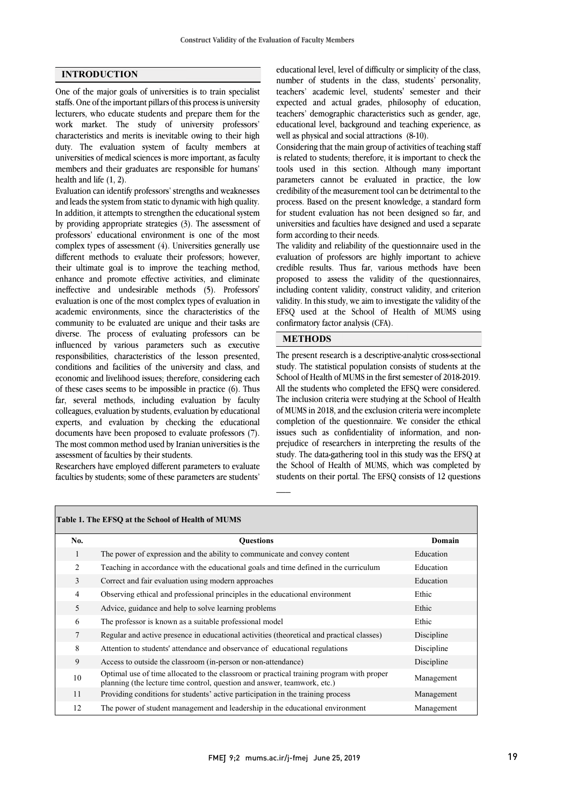### **INTRODUCTION**

One of the major goals of universities is to train specialist staffs. One of the important pillars of this process is university lecturers, who educate students and prepare them for the work market. The study of university professors' characteristics and merits is inevitable owing to their high duty. The evaluation system of faculty members at universities of medical sciences is more important, as faculty members and their graduates are responsible for humans' health and life (1, 2).

Evaluation can identify professors' strengths and weaknesses and leads the system from static to dynamic with high quality. In addition, it attempts to strengthen the educational system by providing appropriate strategies (3). The assessment of professors' educational environment is one of the most complex types of assessment (4). Universities generally use different methods to evaluate their professors; however, their ultimate goal is to improve the teaching method, enhance and promote effective activities, and eliminate ineffective and undesirable methods (5). Professors' evaluation is one of the most complex types of evaluation in academic environments, since the characteristics of the community to be evaluated are unique and their tasks are diverse. The process of evaluating professors can be influenced by various parameters such as executive responsibilities, characteristics of the lesson presented, conditions and facilities of the university and class, and economic and livelihood issues; therefore, considering each of these cases seems to be impossible in practice (6). Thus far, several methods, including evaluation by faculty colleagues, evaluation by students, evaluation by educational experts, and evaluation by checking the educational documents have been proposed to evaluate professors (7). The most common method used by Iranian universities is the assessment of faculties by their students.

Researchers have employed different parameters to evaluate faculties by students; some of these parameters are students'

 number of students in the class, students' personality, teachers' academic level, students' semester and their expected and actual grades, philosophy of education, teachers' demographic characteristics such as gender, age, well as physical and social attractions (8-10). educational level, level of difficulty or simplicity of the class, educational level, background and teaching experience, as

 Considering that the main group of activities of teaching staff is related to students; therefore, it is important to check the tools used in this section. Although many important parameters cannot be evaluated in practice, the low<br>credibility of the measurement tool can be detrimental to the process. Based on the present knowledge, a standard form for student evaluation has not been designed so far, and universities and faculties have designed and used a separate parameters cannot be evaluated in practice, the low form according to their needs.

 The validity and reliability of the questionnaire used in the evaluation of professors are highly important to achieve credible results. Thus far, various methods have been proposed to assess the validity of the questionnaires, validity. In this study, we aim to investigate the validity of the EFSQ used at the School of Health of MUMS using confirmatory factor analysis (CFA). including content validity, construct validity, and criterion

## **METHODS**

J  $\overline{\phantom{0}}$ 

 $\overline{\phantom{a}}$ 

 The present research is a descriptive-analytic cross-sectional study. The statistical population consists of students at the School of Health of MUMS in the first semester of 2018-2019. All the students who completed the EFSQ were considered. of MUMS in 2018, and the exclusion criteria were incomplete completion of the questionnaire. We consider the ethical issues such as confidentiality of information, and non- prejudice of researchers in interpreting the results of the the School of Health of MUMS, which was completed by students on their portal. The EFSQ consists of 12 questions The inclusion criteria were studying at the School of Health study. The data-gathering tool in this study was the EFSQ at

| Table 1. The EFSO at the School of Health of MUMS |                                                                                                                                                                      |            |  |
|---------------------------------------------------|----------------------------------------------------------------------------------------------------------------------------------------------------------------------|------------|--|
| No.                                               | <b>Ouestions</b>                                                                                                                                                     | Domain     |  |
| $\mathbf{1}$                                      | The power of expression and the ability to communicate and convey content                                                                                            | Education  |  |
| $\mathfrak{D}$                                    | Teaching in accordance with the educational goals and time defined in the curriculum                                                                                 | Education  |  |
| 3                                                 | Correct and fair evaluation using modern approaches                                                                                                                  | Education  |  |
| $\overline{4}$                                    | Observing ethical and professional principles in the educational environment                                                                                         | Ethic      |  |
| 5                                                 | Advice, guidance and help to solve learning problems                                                                                                                 | Ethic      |  |
| 6                                                 | The professor is known as a suitable professional model                                                                                                              | Ethic      |  |
| $\tau$                                            | Regular and active presence in educational activities (theoretical and practical classes)                                                                            | Discipline |  |
| 8                                                 | Attention to students' attendance and observance of educational regulations                                                                                          | Discipline |  |
| 9                                                 | Access to outside the classroom (in-person or non-attendance)                                                                                                        | Discipline |  |
| 10                                                | Optimal use of time allocated to the classroom or practical training program with proper<br>planning (the lecture time control, question and answer, teamwork, etc.) | Management |  |
| 11                                                | Providing conditions for students' active participation in the training process                                                                                      | Management |  |
| 12                                                | The power of student management and leadership in the educational environment                                                                                        | Management |  |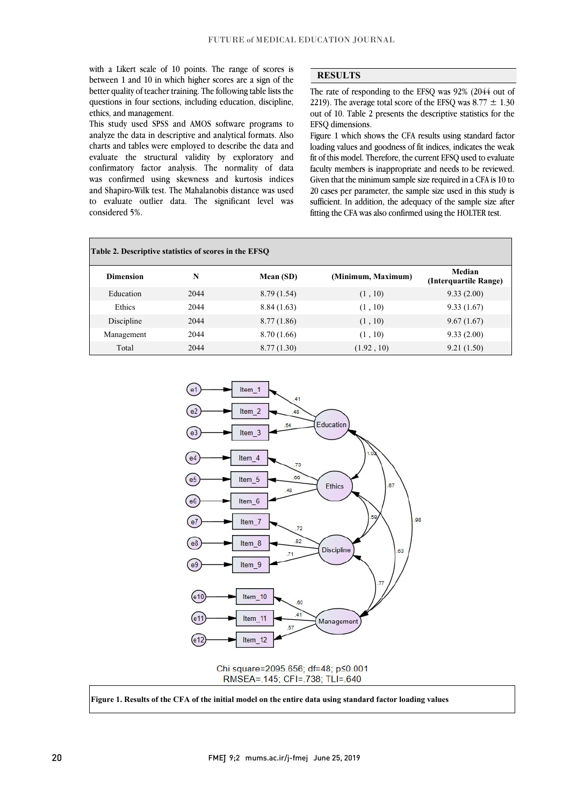between 1 and 10 in which higher scores are a sign of the better quality of teacher training. The following table lists the questions in four sections, including education, discipline, with a Likert scale of 10 points. The range of scores is ethics, and management.

analyze the data in descriptive and analytical formats. Also charts and tables were employed to describe the data and evaluate the structural validity by exploratory and confirmatory factor analysis. The normality of data and Shapiro-Wilk test. The Mahalanobis distance was used to evaluate outlier data. The significant level was This study used SPSS and AMOS software programs to was confirmed using skewness and kurtosis indices considered 5%.

#### **RESULTS**

 The rate of responding to the EFSQ was 92% (2044 out of 2219). The average total score of the EFSQ was 8.77  $\pm$  1.30 out of 10. Table 2 presents the descriptive statistics for the EFSQ dimensions.

 Figure 1 which shows the CFA results using standard factor loading values and goodness of fit indices, indicates the weak fit of this model. Therefore, the current EFSQ used to evaluate faculty members is inappropriate and needs to be reviewed. 20 cases per parameter, the sample size used in this study is sufficient. In addition, the adequacy of the sample size after fitting the CFA was also confirmed using the HOLTER test. Given that the minimum sample size required in a CFA is 10 to

 $\overline{a}$ 

 $\overline{a}$ 

| Table 2. Descriptive statistics of scores in the EFSQ |      |             |                    |                                 |
|-------------------------------------------------------|------|-------------|--------------------|---------------------------------|
| <b>Dimension</b>                                      | N    | Mean (SD)   | (Minimum, Maximum) | Median<br>(Interquartile Range) |
| Education                                             | 2044 | 8.79(1.54)  | (1, 10)            | 9.33(2.00)                      |
| Ethics                                                | 2044 | 8.84(1.63)  | (1, 10)            | 9.33(1.67)                      |
| Discipline                                            | 2044 | 8.77(1.86)  | (1, 10)            | 9.67(1.67)                      |
| Management                                            | 2044 | 8.70 (1.66) | (1, 10)            | 9.33(2.00)                      |
| Total                                                 | 2044 | 8.77(1.30)  | (1.92, 10)         | 9.21(1.50)                      |



Chi square=2095.656: df=48: p≤0.001 RMSEA=.145; CFI=.738; TLI=.640



l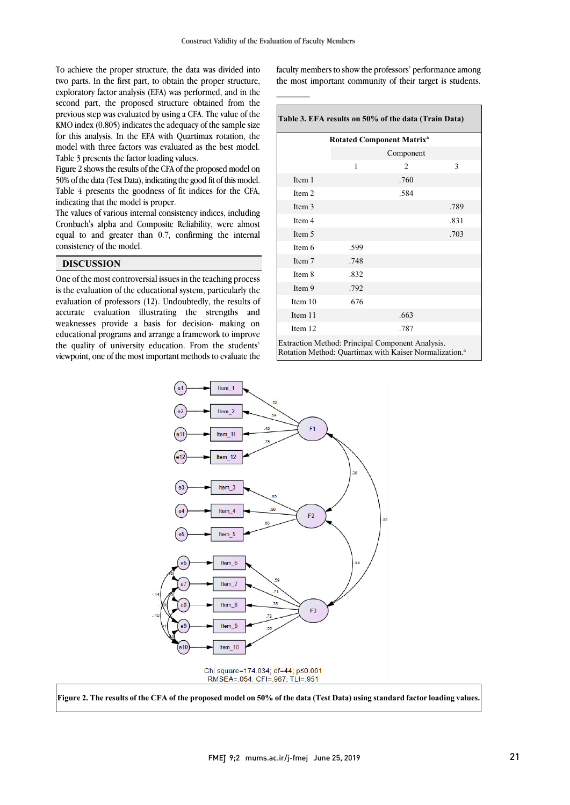$\overline{a}$ 

 $\mathcal{L}$ 

٦

To achieve the proper structure, the data was divided into two parts. In the first part, to obtain the proper structure, exploratory factor analysis (EFA) was performed, and in the second part, the proposed structure obtained from the previous step was evaluated by using a CFA. The value of the KMO index (0.805) indicates the adequacy of the sample size for this analysis. In the EFA with Quartimax rotation, the model with three factors was evaluated as the best model. Table 3 presents the factor loading values.

Figure 2 shows the results of the CFA of the proposed model on 50% of the data (Test Data), indicating the good fit of this model. Table 4 presents the goodness of fit indices for the CFA, indicating that the model is proper.

The values of various internal consistency indices, including Cronbach's alpha and Composite Reliability, were almost equal to and greater than 0.7, confirming the internal consistency of the model.

#### **DISCUSSION**

One of the most controversial issues in the teaching process is the evaluation of the educational system, particularly the evaluation of professors (12). Undoubtedly, the results of accurate evaluation illustrating the strengths and weaknesses provide a basis for decision- making on educational programs and arrange a framework to improve the quality of university education. From the students' viewpoint, one of the most important methods to evaluate the

 the most important community of their target is students. faculty members to show the professors' performance among

# **Table 3. EFA results on 50% of the data (Train Data)**

| <b>Rotated Component Matrix<sup>a</sup></b>      |           |                |      |  |
|--------------------------------------------------|-----------|----------------|------|--|
|                                                  | Component |                |      |  |
|                                                  | 1         | $\overline{2}$ | 3    |  |
| Item 1                                           |           | .760           |      |  |
| Item 2                                           |           | .584           |      |  |
| Item 3                                           |           |                | .789 |  |
| Item 4                                           |           |                | .831 |  |
| Item 5                                           |           |                | .703 |  |
| Item 6                                           | .599      |                |      |  |
| Item 7                                           | .748      |                |      |  |
| Item 8                                           | .832      |                |      |  |
| Item 9                                           | .792      |                |      |  |
| Item 10                                          | .676      |                |      |  |
| Item 11                                          |           | .663           |      |  |
| Item 12                                          |           | .787           |      |  |
| Extraction Method: Principal Component Analysis. |           |                |      |  |

Rotation Method: Quartimax with Kaiser Normalization.<sup>8</sup>





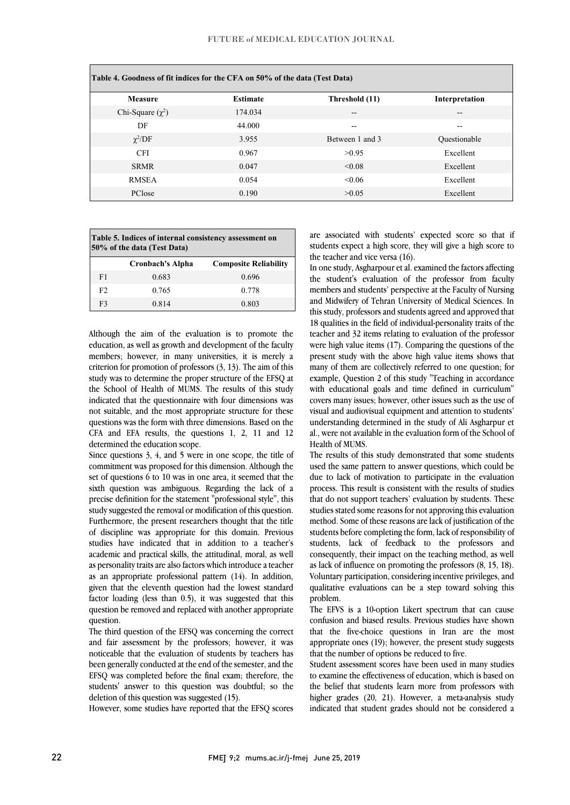| Table 4. Goodness of fit indices for the CFA on 50% of the data (Test Data) |                 |                 |                |
|-----------------------------------------------------------------------------|-----------------|-----------------|----------------|
| <b>Measure</b>                                                              | <b>Estimate</b> | Threshold (11)  | Interpretation |
| Chi-Square $(\chi^2)$                                                       | 174.034         | $- -$           | $- -$          |
| DF                                                                          | 44.000          | --              | --             |
| $\chi^2$ /DF                                                                | 3.955           | Between 1 and 3 | Questionable   |
| <b>CFI</b>                                                                  | 0.967           | >0.95           | Excellent      |
| <b>SRMR</b>                                                                 | 0.047           | < 0.08          | Excellent      |
| <b>RMSEA</b>                                                                | 0.054           | < 0.06          | Excellent      |
| PClose                                                                      | 0.190           | >0.05           | Excellent      |

| Table 5. Indices of internal consistency assessment on<br>50% of the data (Test Data) |                         |                              |
|---------------------------------------------------------------------------------------|-------------------------|------------------------------|
|                                                                                       | <b>Cronbach's Alpha</b> | <b>Composite Reliability</b> |
| F <sub>1</sub>                                                                        | 0.683                   | 0.696                        |
| F2                                                                                    | 0.765                   | 0.778                        |
| F3                                                                                    | 0.814                   | 0.803                        |

Although the aim of the evaluation is to promote the education, as well as growth and development of the faculty members; however, in many universities, it is merely a criterion for promotion of professors  $(3, 13)$ . The aim of this study was to determine the proper structure of the EFSQ at the School of Health of MUMS. The results of this study indicated that the questionnaire with four dimensions was not suitable, and the most appropriate structure for these questions was the form with three dimensions. Based on the CFA and EFA results, the questions 1, 2, 11 and 12 determined the education scope.

Since questions 3, 4, and 5 were in one scope, the title of commitment was proposed for this dimension. Although the set of questions 6 to 10 was in one area, it seemed that the sixth question was ambiguous. Regarding the lack of a precise definition for the statement "professional style", this study suggested the removal or modification of this question. Furthermore, the present researchers thought that the title of discipline was appropriate for this domain. Previous studies have indicated that in addition to a teacher's academic and practical skills, the attitudinal, moral, as well as personality traits are also factors which introduce a teacher as an appropriate professional pattern (14). In addition, given that the eleventh question had the lowest standard factor loading (less than 0.5), it was suggested that this question be removed and replaced with another appropriate question.

The third question of the EFSQ was concerning the correct and fair assessment by the professors; however, it was noticeable that the evaluation of students by teachers has been generally conducted at the end of the semester, and the EFSQ was completed before the final exam; therefore, the students' answer to this question was doubtful; so the deletion of this question was suggested (15).

However, some studies have reported that the EFSQ scores

are associated with students' expected score so that if students expect a high score, they will give a high score to the teacher and vice versa (16).

In one study, Asgharpour et al. examined the factors affecting the student's evaluation of the professor from faculty members and students' perspective at the Faculty of Nursing and Midwifery of Tehran University of Medical Sciences. In this study, professors and students agreed and approved that 18 qualities in the field of individual-personality traits of the teacher and 32 items relating to evaluation of the professor were high value items (17). Comparing the questions of the present study with the above high value items shows that many of them are collectively referred to one question; for example, Question 2 of this study "Teaching in accordance with educational goals and time defined in curriculum" covers many issues; however, other issues such as the use of visual and audiovisual equipment and attention to students' understanding determined in the study of Ali Asgharpur et al., were not available in the evaluation form of the School of Health of MUMS.

The results of this study demonstrated that some students used the same pattern to answer questions, which could be due to lack of motivation to participate in the evaluation process. This result is consistent with the results of studies that do not support teachers' evaluation by students. These studies stated some reasons for not approving this evaluation method. Some of these reasons are lack of justification of the students before completing the form, lack of responsibility of students, lack of feedback to the professors and consequently, their impact on the teaching method, as well as lack of influence on promoting the professors (8, 15, 18). Voluntary participation, considering incentive privileges, and qualitative evaluations can be a step toward solving this problem.

The EFVS is a 10-option Likert spectrum that can cause confusion and biased results. Previous studies have shown that the five-choice questions in Iran are the most appropriate ones (19); however, the present study suggests that the number of options be reduced to five.

Student assessment scores have been used in many studies to examine the effectiveness of education, which is based on the belief that students learn more from professors with higher grades (20, 21). However, a meta-analysis study indicated that student grades should not be considered a